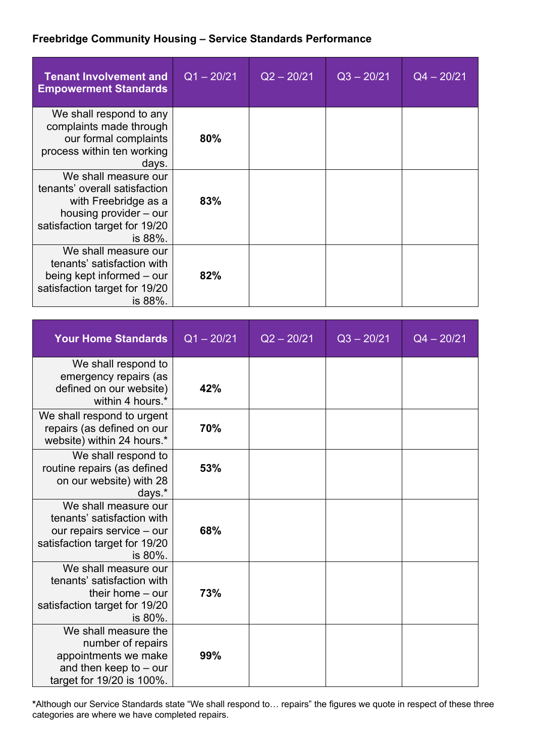## **Freebridge Community Housing – Service Standards Performance**

| <b>Tenant Involvement and</b><br><b>Empowerment Standards</b>                                                                                       | $Q1 - 20/21$ | $Q2 - 20/21$ | $Q3 - 20/21$ | $Q4 - 20/21$ |
|-----------------------------------------------------------------------------------------------------------------------------------------------------|--------------|--------------|--------------|--------------|
| We shall respond to any<br>complaints made through<br>our formal complaints<br>process within ten working<br>days.                                  | 80%          |              |              |              |
| We shall measure our<br>tenants' overall satisfaction<br>with Freebridge as a<br>housing provider - our<br>satisfaction target for 19/20<br>is 88%. | 83%          |              |              |              |
| We shall measure our<br>tenants' satisfaction with<br>being kept informed – our<br>satisfaction target for 19/20<br>is 88%.                         | 82%          |              |              |              |

| <b>Your Home Standards</b>                                                                                                  | $Q1 - 20/21$ | $Q2 - 20/21$ | $Q3 - 20/21$ | $Q4 - 20/21$ |
|-----------------------------------------------------------------------------------------------------------------------------|--------------|--------------|--------------|--------------|
| We shall respond to<br>emergency repairs (as<br>defined on our website)<br>within 4 hours.*                                 | 42%          |              |              |              |
| We shall respond to urgent<br>repairs (as defined on our<br>website) within 24 hours.*                                      | 70%          |              |              |              |
| We shall respond to<br>routine repairs (as defined<br>on our website) with 28<br>days.*                                     | 53%          |              |              |              |
| We shall measure our<br>tenants' satisfaction with<br>our repairs service - our<br>satisfaction target for 19/20<br>is 80%. | 68%          |              |              |              |
| We shall measure our<br>tenants' satisfaction with<br>their home $-$ our<br>satisfaction target for 19/20<br>is 80%.        | 73%          |              |              |              |
| We shall measure the<br>number of repairs<br>appointments we make<br>and then keep to $-$ our<br>target for 19/20 is 100%.  | 99%          |              |              |              |

**\***Although our Service Standards state "We shall respond to… repairs" the figures we quote in respect of these three categories are where we have completed repairs.